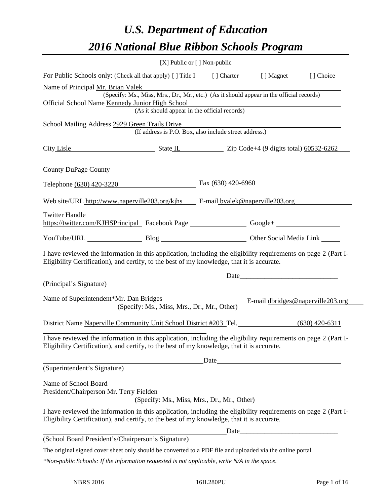# *U.S. Department of Education 2016 National Blue Ribbon Schools Program*

|                                                                                                                                                                                                              | [X] Public or $[$ ] Non-public                                                           |                                                                                                                        |                                   |
|--------------------------------------------------------------------------------------------------------------------------------------------------------------------------------------------------------------|------------------------------------------------------------------------------------------|------------------------------------------------------------------------------------------------------------------------|-----------------------------------|
| For Public Schools only: (Check all that apply) [] Title I [] Charter [] Magnet [] Choice                                                                                                                    |                                                                                          |                                                                                                                        |                                   |
| Name of Principal Mr. Brian Valek                                                                                                                                                                            |                                                                                          |                                                                                                                        |                                   |
|                                                                                                                                                                                                              | (Specify: Ms., Miss, Mrs., Dr., Mr., etc.) (As it should appear in the official records) |                                                                                                                        |                                   |
| Official School Name Kennedy Junior High School                                                                                                                                                              | (As it should appear in the official records)                                            | <u> 1980 - Johann Stoff, deutscher Stoffen und der Stoffen und der Stoffen und der Stoffen und der Stoffen und der</u> |                                   |
|                                                                                                                                                                                                              |                                                                                          |                                                                                                                        |                                   |
| School Mailing Address 2929 Green Trails Drive                                                                                                                                                               | (If address is P.O. Box, also include street address.)                                   |                                                                                                                        |                                   |
| City Lisle State IL Zip Code+4 (9 digits total) 60532-6262                                                                                                                                                   |                                                                                          |                                                                                                                        |                                   |
| County DuPage County                                                                                                                                                                                         |                                                                                          |                                                                                                                        |                                   |
| Telephone (630) 420-3220 Fax (630) 420-6960                                                                                                                                                                  |                                                                                          |                                                                                                                        |                                   |
| Web site/URL http://www.naperville203.org/kjhs E-mail byalek@naperville203.org                                                                                                                               |                                                                                          |                                                                                                                        |                                   |
| <b>Twitter Handle</b>                                                                                                                                                                                        |                                                                                          |                                                                                                                        |                                   |
| https://twitter.com/KJHSPrincipal Facebook Page ____________________Google+ ________________________                                                                                                         |                                                                                          |                                                                                                                        |                                   |
| YouTube/URL Blog Blog Cher Social Media Link                                                                                                                                                                 |                                                                                          |                                                                                                                        |                                   |
| I have reviewed the information in this application, including the eligibility requirements on page 2 (Part I-<br>Eligibility Certification), and certify, to the best of my knowledge, that it is accurate. |                                                                                          |                                                                                                                        |                                   |
|                                                                                                                                                                                                              |                                                                                          |                                                                                                                        |                                   |
| (Principal's Signature)                                                                                                                                                                                      |                                                                                          |                                                                                                                        |                                   |
| Name of Superintendent*Mr. Dan Bridges                                                                                                                                                                       | (Specify: Ms., Miss, Mrs., Dr., Mr., Other)                                              |                                                                                                                        | E-mail dbridges@naperville203.org |
| District Name Naperville Community Unit School District #203 Tel. (630) 420-6311                                                                                                                             |                                                                                          |                                                                                                                        |                                   |
| I have reviewed the information in this application, including the eligibility requirements on page 2 (Part I-<br>Eligibility Certification), and certify, to the best of my knowledge, that it is accurate. |                                                                                          |                                                                                                                        |                                   |
|                                                                                                                                                                                                              |                                                                                          | Date                                                                                                                   |                                   |
| (Superintendent's Signature)                                                                                                                                                                                 |                                                                                          |                                                                                                                        |                                   |
| Name of School Board<br>President/Chairperson Mr. Terry Fielden                                                                                                                                              | (Specify: Ms., Miss, Mrs., Dr., Mr., Other)                                              |                                                                                                                        |                                   |
| I have reviewed the information in this application, including the eligibility requirements on page 2 (Part I-<br>Eligibility Certification), and certify, to the best of my knowledge, that it is accurate. |                                                                                          |                                                                                                                        |                                   |
|                                                                                                                                                                                                              |                                                                                          |                                                                                                                        |                                   |
| (School Board President's/Chairperson's Signature)                                                                                                                                                           |                                                                                          | Date                                                                                                                   |                                   |
| The original signed cover sheet only should be converted to a PDF file and uploaded via the online portal.                                                                                                   |                                                                                          |                                                                                                                        |                                   |
|                                                                                                                                                                                                              |                                                                                          |                                                                                                                        |                                   |

*\*Non-public Schools: If the information requested is not applicable, write N/A in the space.*

 $\overline{a}$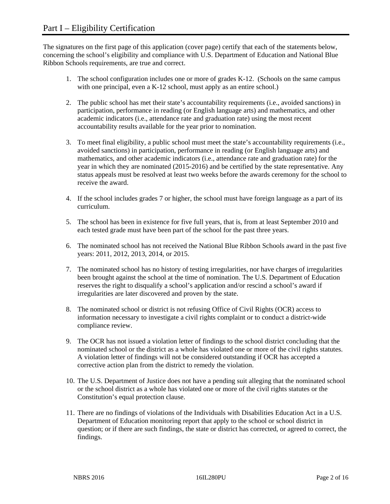The signatures on the first page of this application (cover page) certify that each of the statements below, concerning the school's eligibility and compliance with U.S. Department of Education and National Blue Ribbon Schools requirements, are true and correct.

- 1. The school configuration includes one or more of grades K-12. (Schools on the same campus with one principal, even a K-12 school, must apply as an entire school.)
- 2. The public school has met their state's accountability requirements (i.e., avoided sanctions) in participation, performance in reading (or English language arts) and mathematics, and other academic indicators (i.e., attendance rate and graduation rate) using the most recent accountability results available for the year prior to nomination.
- 3. To meet final eligibility, a public school must meet the state's accountability requirements (i.e., avoided sanctions) in participation, performance in reading (or English language arts) and mathematics, and other academic indicators (i.e., attendance rate and graduation rate) for the year in which they are nominated (2015-2016) and be certified by the state representative. Any status appeals must be resolved at least two weeks before the awards ceremony for the school to receive the award.
- 4. If the school includes grades 7 or higher, the school must have foreign language as a part of its curriculum.
- 5. The school has been in existence for five full years, that is, from at least September 2010 and each tested grade must have been part of the school for the past three years.
- 6. The nominated school has not received the National Blue Ribbon Schools award in the past five years: 2011, 2012, 2013, 2014, or 2015.
- 7. The nominated school has no history of testing irregularities, nor have charges of irregularities been brought against the school at the time of nomination. The U.S. Department of Education reserves the right to disqualify a school's application and/or rescind a school's award if irregularities are later discovered and proven by the state.
- 8. The nominated school or district is not refusing Office of Civil Rights (OCR) access to information necessary to investigate a civil rights complaint or to conduct a district-wide compliance review.
- 9. The OCR has not issued a violation letter of findings to the school district concluding that the nominated school or the district as a whole has violated one or more of the civil rights statutes. A violation letter of findings will not be considered outstanding if OCR has accepted a corrective action plan from the district to remedy the violation.
- 10. The U.S. Department of Justice does not have a pending suit alleging that the nominated school or the school district as a whole has violated one or more of the civil rights statutes or the Constitution's equal protection clause.
- 11. There are no findings of violations of the Individuals with Disabilities Education Act in a U.S. Department of Education monitoring report that apply to the school or school district in question; or if there are such findings, the state or district has corrected, or agreed to correct, the findings.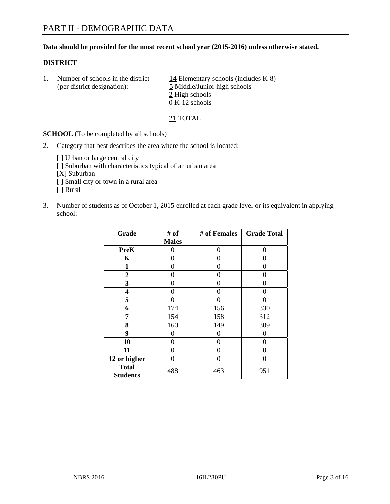## **Data should be provided for the most recent school year (2015-2016) unless otherwise stated.**

## **DISTRICT**

1. Number of schools in the district  $14$  Elementary schools (includes K-8) (per district designation): 5 Middle/Junior high schools 2 High schools 0 K-12 schools

21 TOTAL

**SCHOOL** (To be completed by all schools)

- 2. Category that best describes the area where the school is located:
	- [] Urban or large central city [ ] Suburban with characteristics typical of an urban area [X] Suburban [ ] Small city or town in a rural area [ ] Rural
- 3. Number of students as of October 1, 2015 enrolled at each grade level or its equivalent in applying school:

| Grade                           | # of         | # of Females | <b>Grade Total</b> |
|---------------------------------|--------------|--------------|--------------------|
|                                 | <b>Males</b> |              |                    |
| <b>PreK</b>                     | 0            | 0            | 0                  |
| $\mathbf K$                     | 0            | 0            | 0                  |
| 1                               | 0            | 0            | 0                  |
| $\overline{2}$                  | 0            | 0            | 0                  |
| 3                               | 0            | 0            | 0                  |
| 4                               | 0            | 0            | 0                  |
| 5                               | 0            | 0            | 0                  |
| 6                               | 174          | 156          | 330                |
| 7                               | 154          | 158          | 312                |
| 8                               | 160          | 149          | 309                |
| 9                               | 0            | $\theta$     | 0                  |
| 10                              | $\Omega$     | 0            | $\Omega$           |
| 11                              | 0            | 0            | $\mathbf{\Omega}$  |
| 12 or higher                    | 0            | 0            | $\mathbf{\Omega}$  |
| <b>Total</b><br><b>Students</b> | 488          | 463          | 951                |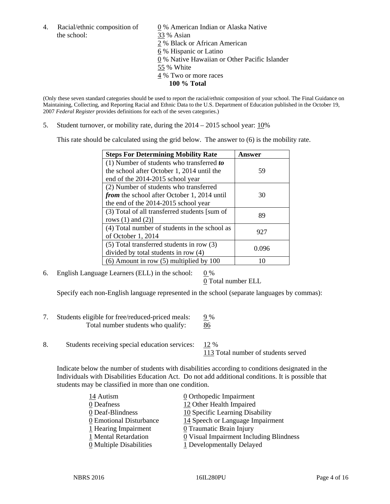the school: 33 % Asian

4. Racial/ethnic composition of  $\qquad 0\%$  American Indian or Alaska Native 2 % Black or African American 6 % Hispanic or Latino 0 % Native Hawaiian or Other Pacific Islander 55 % White 4 % Two or more races **100 % Total** 

(Only these seven standard categories should be used to report the racial/ethnic composition of your school. The Final Guidance on Maintaining, Collecting, and Reporting Racial and Ethnic Data to the U.S. Department of Education published in the October 19, 2007 *Federal Register* provides definitions for each of the seven categories.)

5. Student turnover, or mobility rate, during the  $2014 - 2015$  school year:  $10\%$ 

This rate should be calculated using the grid below. The answer to (6) is the mobility rate.

| <b>Steps For Determining Mobility Rate</b>    | Answer |  |
|-----------------------------------------------|--------|--|
| (1) Number of students who transferred to     |        |  |
| the school after October 1, 2014 until the    | 59     |  |
| end of the 2014-2015 school year              |        |  |
| (2) Number of students who transferred        |        |  |
| from the school after October 1, 2014 until   | 30     |  |
| the end of the 2014-2015 school year          |        |  |
| (3) Total of all transferred students [sum of | 89     |  |
| rows $(1)$ and $(2)$ ]                        |        |  |
| (4) Total number of students in the school as | 927    |  |
| of October 1, 2014                            |        |  |
| (5) Total transferred students in row (3)     | 0.096  |  |
| divided by total students in row (4)          |        |  |
| $(6)$ Amount in row $(5)$ multiplied by 100   | 10     |  |

6. English Language Learners (ELL) in the school:  $0\%$ 

0 Total number ELL

Specify each non-English language represented in the school (separate languages by commas):

- 7. Students eligible for free/reduced-priced meals: 9 % Total number students who qualify: 86
- 8. Students receiving special education services: 12 %

113 Total number of students served

Indicate below the number of students with disabilities according to conditions designated in the Individuals with Disabilities Education Act. Do not add additional conditions. It is possible that students may be classified in more than one condition.

| 14 Autism                             | 0 Orthopedic Impairment                   |
|---------------------------------------|-------------------------------------------|
| 0 Deafness                            | 12 Other Health Impaired                  |
| 0 Deaf-Blindness                      | 10 Specific Learning Disability           |
| 0 Emotional Disturbance               | 14 Speech or Language Impairment          |
| 1 Hearing Impairment                  | 0 Traumatic Brain Injury                  |
| 1 Mental Retardation                  | $Q$ Visual Impairment Including Blindness |
| $\underline{0}$ Multiple Disabilities | 1 Developmentally Delayed                 |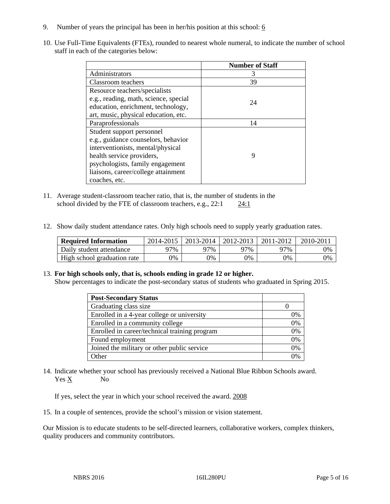- 9. Number of years the principal has been in her/his position at this school:  $6$
- 10. Use Full-Time Equivalents (FTEs), rounded to nearest whole numeral, to indicate the number of school staff in each of the categories below:

|                                       | <b>Number of Staff</b> |
|---------------------------------------|------------------------|
| Administrators                        |                        |
| Classroom teachers                    | 39                     |
| Resource teachers/specialists         |                        |
| e.g., reading, math, science, special | 24                     |
| education, enrichment, technology,    |                        |
| art, music, physical education, etc.  |                        |
| Paraprofessionals                     | 14                     |
| Student support personnel             |                        |
| e.g., guidance counselors, behavior   |                        |
| interventionists, mental/physical     |                        |
| health service providers,             | 9                      |
| psychologists, family engagement      |                        |
| liaisons, career/college attainment   |                        |
| coaches, etc.                         |                        |

- 11. Average student-classroom teacher ratio, that is, the number of students in the school divided by the FTE of classroom teachers, e.g.,  $22:1$  24:1
- 12. Show daily student attendance rates. Only high schools need to supply yearly graduation rates.

| <b>Required Information</b> | 2014-2015 | $2013 - 2014$ | 2012-2013 | 2011-2012 | $2010 - 201$ |
|-----------------------------|-----------|---------------|-----------|-----------|--------------|
| Daily student attendance    | 77%       | 97%           | ว7%       | 77%       | 0%           |
| High school graduation rate | 9%        | 0%            | 0%        | 9%        | 0%           |

#### 13. **For high schools only, that is, schools ending in grade 12 or higher.**

Show percentages to indicate the post-secondary status of students who graduated in Spring 2015.

| <b>Post-Secondary Status</b>                  |    |
|-----------------------------------------------|----|
| Graduating class size                         |    |
| Enrolled in a 4-year college or university    | 0% |
| Enrolled in a community college               | 0% |
| Enrolled in career/technical training program | 0% |
| Found employment                              | 0% |
| Joined the military or other public service   | 0% |
| <b>Other</b>                                  |    |

14. Indicate whether your school has previously received a National Blue Ribbon Schools award. Yes X No

If yes, select the year in which your school received the award. 2008

15. In a couple of sentences, provide the school's mission or vision statement.

Our Mission is to educate students to be self-directed learners, collaborative workers, complex thinkers, quality producers and community contributors.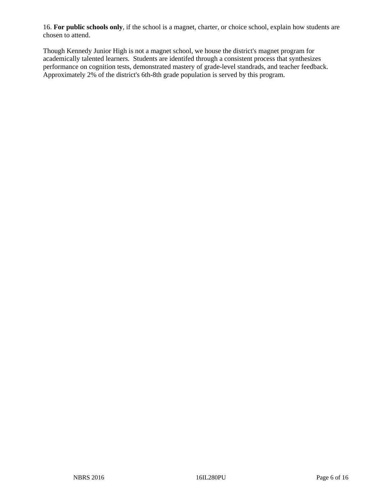16. **For public schools only**, if the school is a magnet, charter, or choice school, explain how students are chosen to attend.

Though Kennedy Junior High is not a magnet school, we house the district's magnet program for academically talented learners. Students are identifed through a consistent process that synthesizes performance on cognition tests, demonstrated mastery of grade-level standrads, and teacher feedback. Approximately 2% of the district's 6th-8th grade population is served by this program.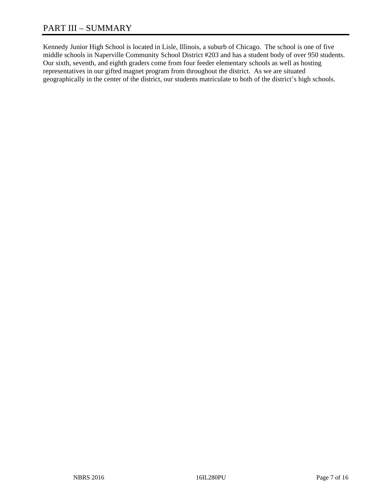Kennedy Junior High School is located in Lisle, Illinois, a suburb of Chicago. The school is one of five middle schools in Naperville Community School District #203 and has a student body of over 950 students. Our sixth, seventh, and eighth graders come from four feeder elementary schools as well as hosting representatives in our gifted magnet program from throughout the district. As we are situated geographically in the center of the district, our students matriculate to both of the district's high schools.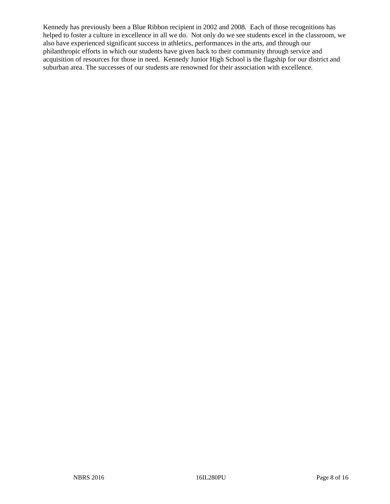Kennedy has previously been a Blue Ribbon recipient in 2002 and 2008. Each of those recognitions has helped to foster a culture in excellence in all we do. Not only do we see students excel in the classroom, we also have experienced significant success in athletics, performances in the arts, and through our philanthropic efforts in which our students have given back to their community through service and acquisition of resources for those in need. Kennedy Junior High School is the flagship for our district and suburban area. The successes of our students are renowned for their association with excellence.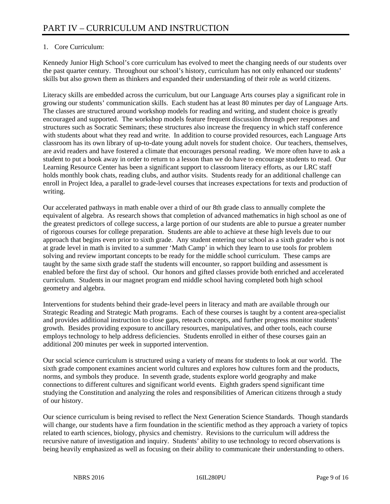# 1. Core Curriculum:

Kennedy Junior High School's core curriculum has evolved to meet the changing needs of our students over the past quarter century. Throughout our school's history, curriculum has not only enhanced our students' skills but also grown them as thinkers and expanded their understanding of their role as world citizens.

Literacy skills are embedded across the curriculum, but our Language Arts courses play a significant role in growing our students' communication skills. Each student has at least 80 minutes per day of Language Arts. The classes are structured around workshop models for reading and writing, and student choice is greatly encouraged and supported. The workshop models feature frequent discussion through peer responses and structures such as Socratic Seminars; these structures also increase the frequency in which staff conference with students about what they read and write. In addition to course provided resources, each Language Arts classroom has its own library of up-to-date young adult novels for student choice. Our teachers, themselves, are avid readers and have fostered a climate that encourages personal reading. We more often have to ask a student to put a book away in order to return to a lesson than we do have to encourage students to read. Our Learning Resource Center has been a significant support to classroom literacy efforts, as our LRC staff holds monthly book chats, reading clubs, and author visits. Students ready for an additional challenge can enroll in Project Idea, a parallel to grade-level courses that increases expectations for texts and production of writing.

Our accelerated pathways in math enable over a third of our 8th grade class to annually complete the equivalent of algebra. As research shows that completion of advanced mathematics in high school as one of the greatest predictors of college success, a large portion of our students are able to pursue a greater number of rigorous courses for college preparation. Students are able to achieve at these high levels due to our approach that begins even prior to sixth grade. Any student entering our school as a sixth grader who is not at grade level in math is invited to a summer 'Math Camp' in which they learn to use tools for problem solving and review important concepts to be ready for the middle school curriculum. These camps are taught by the same sixth grade staff the students will encounter, so rapport building and assessment is enabled before the first day of school. Our honors and gifted classes provide both enriched and accelerated curriculum. Students in our magnet program end middle school having completed both high school geometry and algebra.

Interventions for students behind their grade-level peers in literacy and math are available through our Strategic Reading and Strategic Math programs. Each of these courses is taught by a content area-specialist and provides additional instruction to close gaps, reteach concepts, and further progress monitor students' growth. Besides providing exposure to ancillary resources, manipulatives, and other tools, each course employs technology to help address deficiencies. Students enrolled in either of these courses gain an additional 200 minutes per week in supported intervention.

Our social science curriculum is structured using a variety of means for students to look at our world. The sixth grade component examines ancient world cultures and explores how cultures form and the products, norms, and symbols they produce. In seventh grade, students explore world geography and make connections to different cultures and significant world events. Eighth graders spend significant time studying the Constitution and analyzing the roles and responsibilities of American citizens through a study of our history.

Our science curriculum is being revised to reflect the Next Generation Science Standards. Though standards will change, our students have a firm foundation in the scientific method as they approach a variety of topics related to earth sciences, biology, physics and chemistry. Revisions to the curriculum will address the recursive nature of investigation and inquiry. Students' ability to use technology to record observations is being heavily emphasized as well as focusing on their ability to communicate their understanding to others.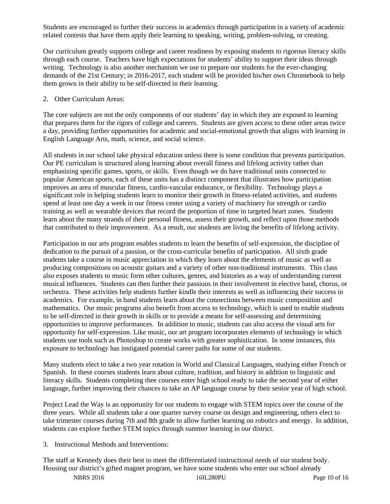Students are encouraged to further their success in academics through participation in a variety of academic related contests that have them apply their learning to speaking, writing, problem-solving, or creating.

Our curriculum greatly supports college and career readiness by exposing students to rigorous literacy skills through each course. Teachers have high expectations for students' ability to support their ideas through writing. Technology is also another mechanism we use to prepare our students for the ever-changing demands of the 21st Century; in 2016-2017, each student will be provided his/her own Chromebook to help them grown in their ability to be self-directed in their learning.

#### 2. Other Curriculum Areas:

The core subjects are not the only components of our students' day in which they are exposed to learning that prepares them for the rigors of college and careers. Students are given access to these other areas twice a day, providing further opportunities for academic and social-emotional growth that aligns with learning in English Language Arts, math, science, and social science.

All students in our school take physical education unless there is some condition that prevents participation. Our PE curriculum is structured along learning about overall fitness and lifelong activity rather than emphasizing specific games, sports, or skills. Even though we do have traditional units connected to popular American sports, each of these units has a distinct component that illustrates how participation improves an area of muscular fitness, cardio-vascular endurance, or flexibility. Technology plays a significant role in helping students learn to monitor their growth in fitness-related activities, and students spend at least one day a week in our fitness center using a variety of machinery for strength or cardio training as well as wearable devices that record the proportion of time in targeted heart zones. Students learn about the many strands of their personal fitness, assess their growth, and reflect upon those methods that contributed to their improvement. As a result, our students are living the benefits of lifelong activity.

Participation in our arts program enables students to learn the benefits of self-expression, the discipline of dedication to the pursuit of a passion, or the cross-curricular benefits of participation. All sixth grade students take a course in music appreciation in which they learn about the elements of music as well as producing compositions on acoustic guitars and a variety of other non-traditional instruments. This class also exposes students to music form other cultures, genres, and histories as a way of understanding current musical influences. Students can then further their passions in their involvement in elective band, chorus, or orchestra. These activities help students further kindle their interests as well as influencing their success in academics. For example, in band students learn about the connections between music composition and mathematics. Our music programs also benefit from access to technology, which is used to enable students to be self-directed in their growth in skills or to provide a means for self-assessing and determining opportunities to improve performances. In addition to music, students can also access the visual arts for opportunity for self-expression. Like music, our art program incorporates elements of technology in which students use tools such as Photoshop to create works with greater sophistication. In some instances, this exposure to technology has instigated potential career paths for some of our students.

Many students elect to take a two year rotation in World and Classical Languages, studying either French or Spanish. In these courses students learn about culture, tradition, and history in addition to linguistic and literacy skills. Students completing thee courses enter high school ready to take the second year of either language, further improving their chances to take an AP language course by their senior year of high school.

Project Lead the Way is an opportunity for our students to engage with STEM topics over the course of the three years. While all students take a one quarter survey course on design and engineering, others elect to take trimester courses during 7th and 8th grade to allow further learning on robotics and energy. In addition, students can explore further STEM topics through summer learning in our district.

## 3. Instructional Methods and Interventions:

The staff at Kennedy does their best to meet the differentiated instructional needs of our student body. Housing our district's gifted magnet program, we have some students who enter our school already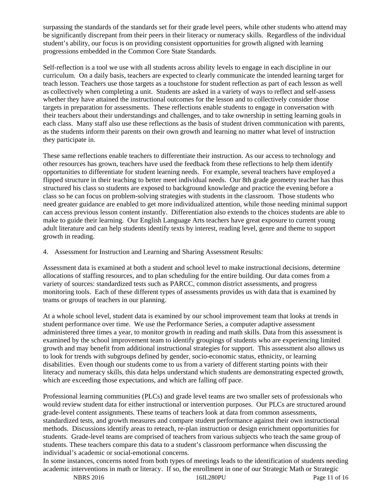surpassing the standards of the standards set for their grade level peers, while other students who attend may be significantly discrepant from their peers in their literacy or numeracy skills. Regardless of the individual student's ability, our focus is on providing consistent opportunities for growth aligned with learning progressions embedded in the Common Core State Standards.

Self-reflection is a tool we use with all students across ability levels to engage in each discipline in our curriculum. On a daily basis, teachers are expected to clearly communicate the intended learning target for teach lesson. Teachers use those targets as a touchstone for student reflection as part of each lesson as well as collectively when completing a unit. Students are asked in a variety of ways to reflect and self-assess whether they have attained the instructional outcomes for the lesson and to collectively consider those targets in preparation for assessments. These reflections enable students to engage in conversation with their teachers about their understandings and challenges, and to take ownership in setting learning goals in each class. Many staff also use these reflections as the basis of student driven communication with parents, as the students inform their parents on their own growth and learning no matter what level of instruction they participate in.

These same reflections enable teachers to differentiate their instruction. As our access to technology and other resources has grown, teachers have used the feedback from these reflections to help them identify opportunities to differentiate for student learning needs. For example, several teachers have employed a flipped structure in their teaching to better meet individual needs. Our 8th grade geometry teacher has thus structured his class so students are exposed to background knowledge and practice the evening before a class so he can focus on problem-solving strategies with students in the classroom. Those students who need greater guidance are enabled to get more individualized attention, while those needing minimal support can access previous lesson content instantly. Differentiation also extends to the choices students are able to make to guide their learning. Our English Language Arts teachers have great exposure to current young adult literature and can help students identify texts by interest, reading level, genre and theme to support growth in reading.

4. Assessment for Instruction and Learning and Sharing Assessment Results:

Assessment data is examined at both a student and school level to make instructional decisions, determine allocations of staffing resources, and to plan scheduling for the entire building. Our data comes from a variety of sources: standardized tests such as PARCC, common district assessments, and progress monitoring tools. Each of these different types of assessments provides us with data that is examined by teams or groups of teachers in our planning.

At a whole school level, student data is examined by our school improvement team that looks at trends in student performance over time. We use the Performance Series, a computer adaptive assessment administered three times a year, to monitor growth in reading and math skills. Data from this assessment is examined by the school improvement team to identify groupings of students who are experiencing limited growth and may benefit from additional instructional strategies for support. This assessment also allows us to look for trends with subgroups defined by gender, socio-economic status, ethnicity, or learning disabilities. Even though our students come to us from a variety of different starting points with their literacy and numeracy skills, this data helps understand which students are demonstrating expected growth, which are exceeding those expectations, and which are falling off pace.

Professional learning communities (PLCs) and grade level teams are two smaller sets of professionals who would review student data for either instructional or intervention purposes. Our PLCs are structured around grade-level content assignments. These teams of teachers look at data from common assessments, standardized tests, and growth measures and compare student performance against their own instructional methods. Discussions identify areas to reteach, re-plan instruction or design enrichment opportunities for students. Grade-level teams are comprised of teachers from various subjects who teach the same group of students. These teachers compare this data to a student's classroom performance when discussing the individual's academic or social-emotional concerns.

In some instances, concerns noted from both types of meetings leads to the identification of students needing academic interventions in math or literacy. If so, the enrollment in one of our Strategic Math or Strategic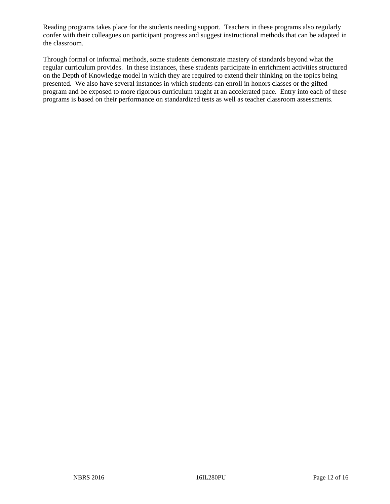Reading programs takes place for the students needing support. Teachers in these programs also regularly confer with their colleagues on participant progress and suggest instructional methods that can be adapted in the classroom.

Through formal or informal methods, some students demonstrate mastery of standards beyond what the regular curriculum provides. In these instances, these students participate in enrichment activities structured on the Depth of Knowledge model in which they are required to extend their thinking on the topics being presented. We also have several instances in which students can enroll in honors classes or the gifted program and be exposed to more rigorous curriculum taught at an accelerated pace. Entry into each of these programs is based on their performance on standardized tests as well as teacher classroom assessments.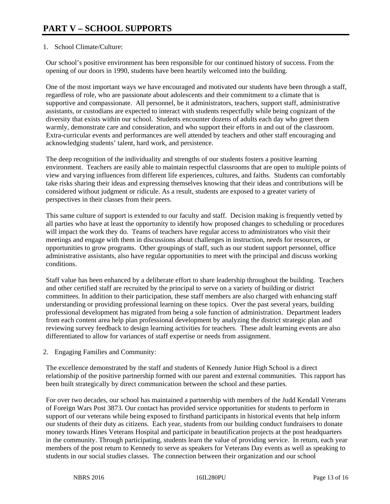# 1. School Climate/Culture:

Our school's positive environment has been responsible for our continued history of success. From the opening of our doors in 1990, students have been heartily welcomed into the building.

One of the most important ways we have encouraged and motivated our students have been through a staff, regardless of role, who are passionate about adolescents and their commitment to a climate that is supportive and compassionate. All personnel, be it administrators, teachers, support staff, administrative assistants, or custodians are expected to interact with students respectfully while being cognizant of the diversity that exists within our school. Students encounter dozens of adults each day who greet them warmly, demonstrate care and consideration, and who support their efforts in and out of the classroom. Extra-curricular events and performances are well attended by teachers and other staff encouraging and acknowledging students' talent, hard work, and persistence.

The deep recognition of the individuality and strengths of our students fosters a positive learning environment. Teachers are easily able to maintain respectful classrooms that are open to multiple points of view and varying influences from different life experiences, cultures, and faiths. Students can comfortably take risks sharing their ideas and expressing themselves knowing that their ideas and contributions will be considered without judgment or ridicule. As a result, students are exposed to a greater variety of perspectives in their classes from their peers.

This same culture of support is extended to our faculty and staff. Decision making is frequently vetted by all parties who have at least the opportunity to identify how proposed changes to scheduling or procedures will impact the work they do. Teams of teachers have regular access to administrators who visit their meetings and engage with them in discussions about challenges in instruction, needs for resources, or opportunities to grow programs. Other groupings of staff, such as our student support personnel, office administrative assistants, also have regular opportunities to meet with the principal and discuss working conditions.

Staff value has been enhanced by a deliberate effort to share leadership throughout the building. Teachers and other certified staff are recruited by the principal to serve on a variety of building or district committees. In addition to their participation, these staff members are also charged with enhancing staff understanding or providing professional learning on these topics. Over the past several years, building professional development has migrated from being a sole function of administration. Department leaders from each content area help plan professional development by analyzing the district strategic plan and reviewing survey feedback to design learning activities for teachers. These adult learning events are also differentiated to allow for variances of staff expertise or needs from assignment.

2. Engaging Families and Community:

The excellence demonstrated by the staff and students of Kennedy Junior High School is a direct relationship of the positive partnership formed with our parent and external communities. This rapport has been built strategically by direct communication between the school and these parties.

For over two decades, our school has maintained a partnership with members of the Judd Kendall Veterans of Foreign Wars Post 3873. Our contact has provided service opportunities for students to perform in support of our veterans while being exposed to firsthand participants in historical events that help inform our students of their duty as citizens. Each year, students from our building conduct fundraisers to donate money towards Hines Veterans Hospital and participate in beautification projects at the post headquarters in the community. Through participating, students learn the value of providing service. In return, each year members of the post return to Kennedy to serve as speakers for Veterans Day events as well as speaking to students in our social studies classes. The connection between their organization and our school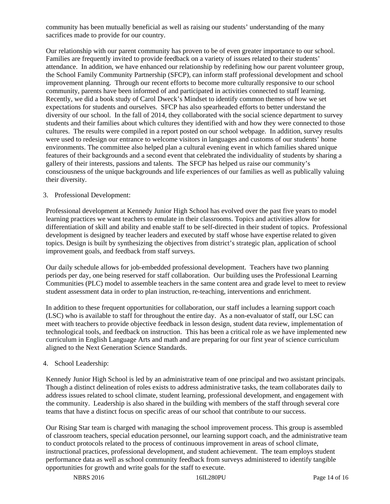community has been mutually beneficial as well as raising our students' understanding of the many sacrifices made to provide for our country.

Our relationship with our parent community has proven to be of even greater importance to our school. Families are frequently invited to provide feedback on a variety of issues related to their students' attendance. In addition, we have enhanced our relationship by redefining how our parent volunteer group, the School Family Community Partnership (SFCP), can inform staff professional development and school improvement planning. Through our recent efforts to become more culturally responsive to our school community, parents have been informed of and participated in activities connected to staff learning. Recently, we did a book study of Carol Dweck's Mindset to identify common themes of how we set expectations for students and ourselves. SFCP has also spearheaded efforts to better understand the diversity of our school. In the fall of 2014, they collaborated with the social science department to survey students and their families about which cultures they identified with and how they were connected to those cultures. The results were compiled in a report posted on our school webpage. In addition, survey results were used to redesign our entrance to welcome visitors in languages and customs of our students' home environments. The committee also helped plan a cultural evening event in which families shared unique features of their backgrounds and a second event that celebrated the individuality of students by sharing a gallery of their interests, passions and talents. The SFCP has helped us raise our community's consciousness of the unique backgrounds and life experiences of our families as well as publically valuing their diversity.

#### 3. Professional Development:

Professional development at Kennedy Junior High School has evolved over the past five years to model learning practices we want teachers to emulate in their classrooms. Topics and activities allow for differentiation of skill and ability and enable staff to be self-directed in their student of topics. Professional development is designed by teacher leaders and executed by staff whose have expertise related to given topics. Design is built by synthesizing the objectives from district's strategic plan, application of school improvement goals, and feedback from staff surveys.

Our daily schedule allows for job-embedded professional development. Teachers have two planning periods per day, one being reserved for staff collaboration. Our building uses the Professional Learning Communities (PLC) model to assemble teachers in the same content area and grade level to meet to review student assessment data in order to plan instruction, re-teaching, interventions and enrichment.

In addition to these frequent opportunities for collaboration, our staff includes a learning support coach (LSC) who is available to staff for throughout the entire day. As a non-evaluator of staff, our LSC can meet with teachers to provide objective feedback in lesson design, student data review, implementation of technological tools, and feedback on instruction. This has been a critical role as we have implemented new curriculum in English Language Arts and math and are preparing for our first year of science curriculum aligned to the Next Generation Science Standards.

## 4. School Leadership:

Kennedy Junior High School is led by an administrative team of one principal and two assistant principals. Though a distinct delineation of roles exists to address administrative tasks, the team collaborates daily to address issues related to school climate, student learning, professional development, and engagement with the community. Leadership is also shared in the building with members of the staff through several core teams that have a distinct focus on specific areas of our school that contribute to our success.

Our Rising Star team is charged with managing the school improvement process. This group is assembled of classroom teachers, special education personnel, our learning support coach, and the administrative team to conduct protocols related to the process of continuous improvement in areas of school climate, instructional practices, professional development, and student achievement. The team employs student performance data as well as school community feedback from surveys administered to identify tangible opportunities for growth and write goals for the staff to execute.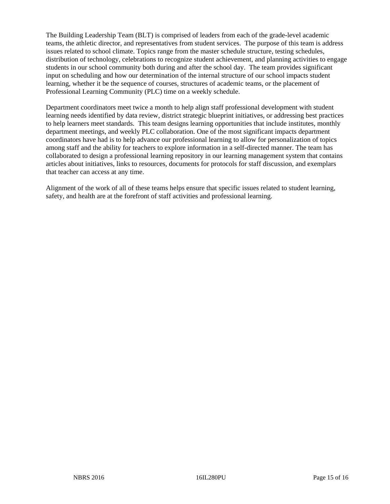The Building Leadership Team (BLT) is comprised of leaders from each of the grade-level academic teams, the athletic director, and representatives from student services. The purpose of this team is address issues related to school climate. Topics range from the master schedule structure, testing schedules, distribution of technology, celebrations to recognize student achievement, and planning activities to engage students in our school community both during and after the school day. The team provides significant input on scheduling and how our determination of the internal structure of our school impacts student learning, whether it be the sequence of courses, structures of academic teams, or the placement of Professional Learning Community (PLC) time on a weekly schedule.

Department coordinators meet twice a month to help align staff professional development with student learning needs identified by data review, district strategic blueprint initiatives, or addressing best practices to help learners meet standards. This team designs learning opportunities that include institutes, monthly department meetings, and weekly PLC collaboration. One of the most significant impacts department coordinators have had is to help advance our professional learning to allow for personalization of topics among staff and the ability for teachers to explore information in a self-directed manner. The team has collaborated to design a professional learning repository in our learning management system that contains articles about initiatives, links to resources, documents for protocols for staff discussion, and exemplars that teacher can access at any time.

Alignment of the work of all of these teams helps ensure that specific issues related to student learning, safety, and health are at the forefront of staff activities and professional learning.